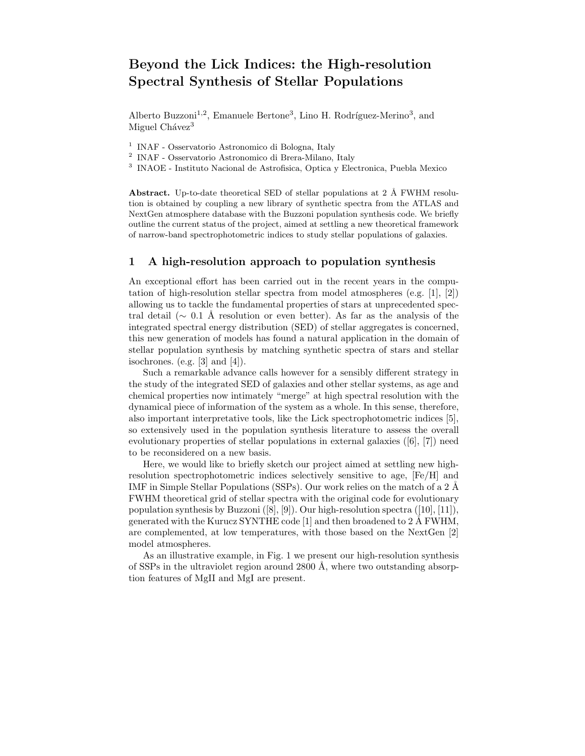## Beyond the Lick Indices: the High-resolution Spectral Synthesis of Stellar Populations

Alberto Buzzoni<sup>1,2</sup>, Emanuele Bertone<sup>3</sup>, Lino H. Rodríguez-Merino<sup>3</sup>, and Miguel Chávez<sup>3</sup>

1 INAF - Osservatorio Astronomico di Bologna, Italy

2 INAF - Osservatorio Astronomico di Brera-Milano, Italy

3 INAOE - Instituto Nacional de Astrofisica, Optica y Electronica, Puebla Mexico

Abstract. Up-to-date theoretical SED of stellar populations at 2 Å FWHM resolution is obtained by coupling a new library of synthetic spectra from the ATLAS and NextGen atmosphere database with the Buzzoni population synthesis code. We briefly outline the current status of the project, aimed at settling a new theoretical framework of narrow-band spectrophotometric indices to study stellar populations of galaxies.

## 1 A high-resolution approach to population synthesis

An exceptional effort has been carried out in the recent years in the computation of high-resolution stellar spectra from model atmospheres (e.g. [1], [2]) allowing us to tackle the fundamental properties of stars at unprecedented spectral detail ( $\sim 0.1$  Å resolution or even better). As far as the analysis of the integrated spectral energy distribution (SED) of stellar aggregates is concerned, this new generation of models has found a natural application in the domain of stellar population synthesis by matching synthetic spectra of stars and stellar isochrones. (e.g.  $[3]$  and  $[4]$ ).

Such a remarkable advance calls however for a sensibly different strategy in the study of the integrated SED of galaxies and other stellar systems, as age and chemical properties now intimately "merge" at high spectral resolution with the dynamical piece of information of the system as a whole. In this sense, therefore, also important interpretative tools, like the Lick spectrophotometric indices [5], so extensively used in the population synthesis literature to assess the overall evolutionary properties of stellar populations in external galaxies ([6], [7]) need to be reconsidered on a new basis.

Here, we would like to briefly sketch our project aimed at settling new highresolution spectrophotometric indices selectively sensitive to age, [Fe/H] and IMF in Simple Stellar Populations (SSPs). Our work relies on the match of a  $2 \text{ Å}$ FWHM theoretical grid of stellar spectra with the original code for evolutionary population synthesis by Buzzoni ([8], [9]). Our high-resolution spectra ([10], [11]), generated with the Kurucz SYNTHE code [1] and then broadened to 2 Å FWHM, are complemented, at low temperatures, with those based on the NextGen [2] model atmospheres.

As an illustrative example, in Fig. 1 we present our high-resolution synthesis of SSPs in the ultraviolet region around  $2800 \text{ Å}$ , where two outstanding absorption features of MgII and MgI are present.